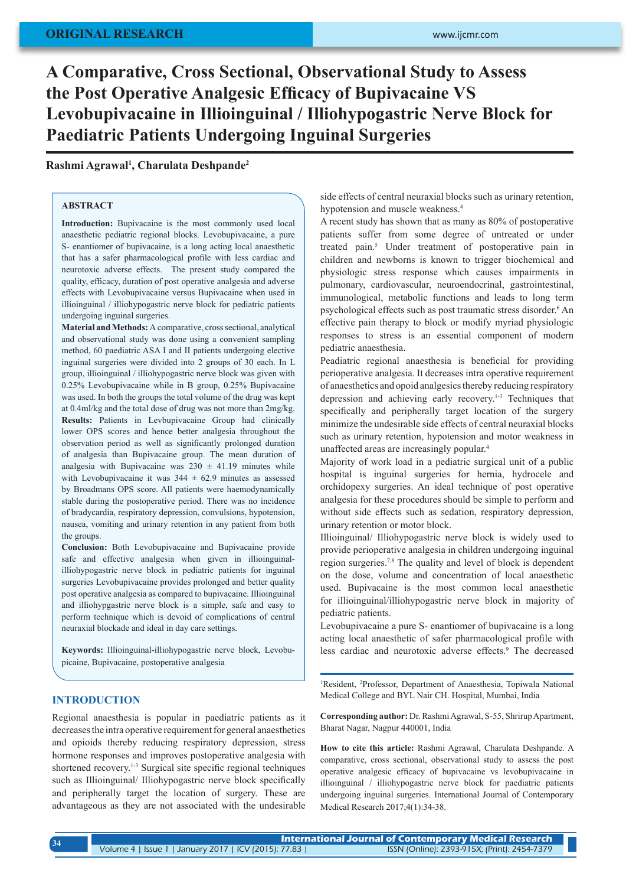# **A Comparative, Cross Sectional, Observational Study to Assess the Post Operative Analgesic Efficacy of Bupivacaine VS Levobupivacaine in Illioinguinal / Illiohypogastric Nerve Block for Paediatric Patients Undergoing Inguinal Surgeries**

## **Rashmi Agrawal1 , Charulata Deshpande2**

## **ABSTRACT**

**Introduction:** Bupivacaine is the most commonly used local anaesthetic pediatric regional blocks. Levobupivacaine, a pure S- enantiomer of bupivacaine, is a long acting local anaesthetic that has a safer pharmacological profile with less cardiac and neurotoxic adverse effects. The present study compared the quality, efficacy, duration of post operative analgesia and adverse effects with Levobupivacaine versus Bupivacaine when used in illioinguinal / illiohypogastric nerve block for pediatric patients undergoing inguinal surgeries.

**Material and Methods:** A comparative, cross sectional, analytical and observational study was done using a convenient sampling method, 60 paediatric ASA I and II patients undergoing elective inguinal surgeries were divided into 2 groups of 30 each. In L group, illioinguinal / illiohypogastric nerve block was given with 0.25% Levobupivacaine while in B group, 0.25% Bupivacaine was used. In both the groups the total volume of the drug was kept at 0.4ml/kg and the total dose of drug was not more than 2mg/kg. **Results:** Patients in Levbupivacaine Group had clinically lower OPS scores and hence better analgesia throughout the observation period as well as significantly prolonged duration of analgesia than Bupivacaine group. The mean duration of analgesia with Bupivacaine was  $230 \pm 41.19$  minutes while with Levobupivacaine it was  $344 \pm 62.9$  minutes as assessed by Broadmans OPS score. All patients were haemodynamically stable during the postoperative period. There was no incidence of bradycardia, respiratory depression, convulsions, hypotension, nausea, vomiting and urinary retention in any patient from both the groups.

**Conclusion:** Both Levobupivacaine and Bupivacaine provide safe and effective analgesia when given in illioinguinalilliohypogastric nerve block in pediatric patients for inguinal surgeries Levobupivacaine provides prolonged and better quality post operative analgesia as compared to bupivacaine. Illioinguinal and illiohypgastric nerve block is a simple, safe and easy to perform technique which is devoid of complications of central neuraxial blockade and ideal in day care settings.

**Keywords:** Illioinguinal-illiohypogastric nerve block, Levobupicaine, Bupivacaine, postoperative analgesia

## **INTRODUCTION**

Regional anaesthesia is popular in paediatric patients as it decreases the intra operative requirement for general anaesthetics and opioids thereby reducing respiratory depression, stress hormone responses and improves postoperative analgesia with shortened recovery.<sup>1-3</sup> Surgical site specific regional techniques such as Illioinguinal/ Illiohypogastric nerve block specifically and peripherally target the location of surgery. These are advantageous as they are not associated with the undesirable

side effects of central neuraxial blocks such as urinary retention, hypotension and muscle weakness.<sup>4</sup>

A recent study has shown that as many as 80% of postoperative patients suffer from some degree of untreated or under treated pain.<sup>5</sup> Under treatment of postoperative pain in children and newborns is known to trigger biochemical and physiologic stress response which causes impairments in pulmonary, cardiovascular, neuroendocrinal, gastrointestinal, immunological, metabolic functions and leads to long term psychological effects such as post traumatic stress disorder.<sup>6</sup> An effective pain therapy to block or modify myriad physiologic responses to stress is an essential component of modern pediatric anaesthesia.

Peadiatric regional anaesthesia is beneficial for providing perioperative analgesia. It decreases intra operative requirement of anaesthetics and opoid analgesics thereby reducing respiratory depression and achieving early recovery.1-3 Techniques that specifically and peripherally target location of the surgery minimize the undesirable side effects of central neuraxial blocks such as urinary retention, hypotension and motor weakness in unaffected areas are increasingly popular.4

Majority of work load in a pediatric surgical unit of a public hospital is inguinal surgeries for hernia, hydrocele and orchidopexy surgeries. An ideal technique of post operative analgesia for these procedures should be simple to perform and without side effects such as sedation, respiratory depression, urinary retention or motor block.

Illioinguinal/ Illiohypogastric nerve block is widely used to provide perioperative analgesia in children undergoing inguinal region surgeries.7,8 The quality and level of block is dependent on the dose, volume and concentration of local anaesthetic used. Bupivacaine is the most common local anaesthetic for illioinguinal/illiohypogastric nerve block in majority of pediatric patients.

Levobupivacaine a pure S- enantiomer of bupivacaine is a long acting local anaesthetic of safer pharmacological profile with less cardiac and neurotoxic adverse effects.<sup>9</sup> The decreased

<sup>1</sup>Resident, <sup>2</sup>Professor, Department of Anaesthesia, Topiwala National Medical College and BYL Nair CH. Hospital, Mumbai, India

**Corresponding author:** Dr. Rashmi Agrawal, S-55, Shrirup Apartment, Bharat Nagar, Nagpur 440001, India

**How to cite this article:** Rashmi Agrawal, Charulata Deshpande. A comparative, cross sectional, observational study to assess the post operative analgesic efficacy of bupivacaine vs levobupivacaine in illioinguinal / illiohypogastric nerve block for paediatric patients undergoing inguinal surgeries. International Journal of Contemporary Medical Research 2017;4(1):34-38.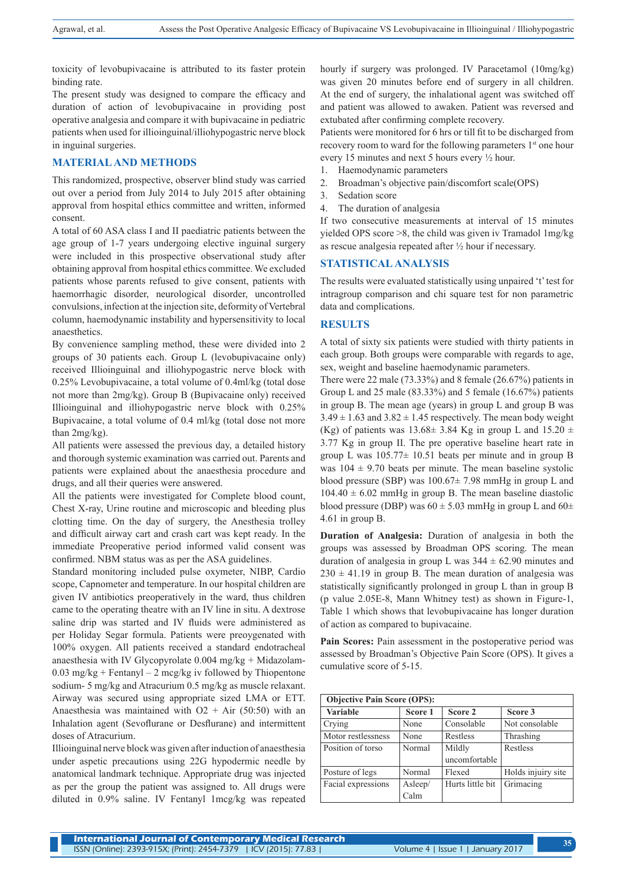toxicity of levobupivacaine is attributed to its faster protein binding rate.

The present study was designed to compare the efficacy and duration of action of levobupivacaine in providing post operative analgesia and compare it with bupivacaine in pediatric patients when used for illioinguinal/illiohypogastric nerve block in inguinal surgeries.

### **MATERIAL AND METHODS**

This randomized, prospective, observer blind study was carried out over a period from July 2014 to July 2015 after obtaining approval from hospital ethics committee and written, informed consent.

A total of 60 ASA class I and II paediatric patients between the age group of 1-7 years undergoing elective inguinal surgery were included in this prospective observational study after obtaining approval from hospital ethics committee. We excluded patients whose parents refused to give consent, patients with haemorrhagic disorder, neurological disorder, uncontrolled convulsions, infection at the injection site, deformity of Vertebral column, haemodynamic instability and hypersensitivity to local anaesthetics.

By convenience sampling method, these were divided into 2 groups of 30 patients each. Group L (levobupivacaine only) received Illioinguinal and illiohypogastric nerve block with 0.25% Levobupivacaine, a total volume of 0.4ml/kg (total dose not more than 2mg/kg). Group B (Bupivacaine only) received Illioinguinal and illiohypogastric nerve block with 0.25% Bupivacaine, a total volume of 0.4 ml/kg (total dose not more than 2mg/kg).

All patients were assessed the previous day, a detailed history and thorough systemic examination was carried out. Parents and patients were explained about the anaesthesia procedure and drugs, and all their queries were answered.

All the patients were investigated for Complete blood count, Chest X-ray, Urine routine and microscopic and bleeding plus clotting time. On the day of surgery, the Anesthesia trolley and difficult airway cart and crash cart was kept ready. In the immediate Preoperative period informed valid consent was confirmed. NBM status was as per the ASA guidelines.

Standard monitoring included pulse oxymeter, NIBP, Cardio scope, Capnometer and temperature. In our hospital children are given IV antibiotics preoperatively in the ward, thus children came to the operating theatre with an IV line in situ. A dextrose saline drip was started and IV fluids were administered as per Holiday Segar formula. Patients were preoygenated with 100% oxygen. All patients received a standard endotracheal anaesthesia with IV Glycopyrolate 0.004 mg/kg + Midazolam-0.03 mg/kg + Fentanyl – 2 mcg/kg iv followed by Thiopentone sodium- 5 mg/kg and Atracurium 0.5 mg/kg as muscle relaxant. Airway was secured using appropriate sized LMA or ETT. Anaesthesia was maintained with  $O2 + Air (50:50)$  with an Inhalation agent (Sevoflurane or Desflurane) and intermittent doses of Atracurium.

Illioinguinal nerve block was given after induction of anaesthesia under aspetic precautions using 22G hypodermic needle by anatomical landmark technique. Appropriate drug was injected as per the group the patient was assigned to. All drugs were diluted in 0.9% saline. IV Fentanyl 1mcg/kg was repeated hourly if surgery was prolonged. IV Paracetamol (10mg/kg) was given 20 minutes before end of surgery in all children. At the end of surgery, the inhalational agent was switched off and patient was allowed to awaken. Patient was reversed and extubated after confirming complete recovery.

Patients were monitored for 6 hrs or till fit to be discharged from recovery room to ward for the following parameters 1<sup>st</sup> one hour every 15 minutes and next 5 hours every ½ hour.

- 1. Haemodynamic parameters
- 2. Broadman's objective pain/discomfort scale(OPS)
- 3. Sedation score
- 4. The duration of analgesia

If two consecutive measurements at interval of 15 minutes yielded OPS score >8, the child was given iv Tramadol 1mg/kg as rescue analgesia repeated after ½ hour if necessary.

#### **STATISTICAL ANALYSIS**

The results were evaluated statistically using unpaired 't' test for intragroup comparison and chi square test for non parametric data and complications.

#### **RESULTS**

A total of sixty six patients were studied with thirty patients in each group. Both groups were comparable with regards to age, sex, weight and baseline haemodynamic parameters.

There were 22 male (73.33%) and 8 female (26.67%) patients in Group L and 25 male (83.33%) and 5 female (16.67%) patients in group B. The mean age (years) in group L and group B was  $3.49 \pm 1.63$  and  $3.82 \pm 1.45$  respectively. The mean body weight (Kg) of patients was  $13.68 \pm 3.84$  Kg in group L and  $15.20 \pm 1.6$ 3.77 Kg in group II. The pre operative baseline heart rate in group L was  $105.77 \pm 10.51$  beats per minute and in group B was  $104 \pm 9.70$  beats per minute. The mean baseline systolic blood pressure (SBP) was  $100.67 \pm 7.98$  mmHg in group L and  $104.40 \pm 6.02$  mmHg in group B. The mean baseline diastolic blood pressure (DBP) was  $60 \pm 5.03$  mmHg in group L and  $60 \pm$ 4.61 in group B.

**Duration of Analgesia:** Duration of analgesia in both the groups was assessed by Broadman OPS scoring. The mean duration of analgesia in group L was  $344 \pm 62.90$  minutes and  $230 \pm 41.19$  in group B. The mean duration of analgesia was statistically significantly prolonged in group L than in group B (p value 2.05E-8, Mann Whitney test) as shown in Figure-1, Table 1 which shows that levobupivacaine has longer duration of action as compared to bupivacaine.

**Pain Scores:** Pain assessment in the postoperative period was assessed by Broadman's Objective Pain Score (OPS). It gives a cumulative score of 5-15.

| <b>Objective Pain Score (OPS):</b> |         |                  |                    |  |  |  |  |  |
|------------------------------------|---------|------------------|--------------------|--|--|--|--|--|
| <b>Variable</b>                    | Score 1 | Score 2          | Score 3            |  |  |  |  |  |
| Crying                             | None    | Consolable       | Not consolable     |  |  |  |  |  |
| Motor restlessness                 | None    | Restless         | Thrashing          |  |  |  |  |  |
| Position of torso                  | Normal  | Mildly           | Restless           |  |  |  |  |  |
|                                    |         | uncomfortable    |                    |  |  |  |  |  |
| Posture of legs                    | Normal  | Flexed           | Holds injuiry site |  |  |  |  |  |
| Facial expressions                 | Asleep/ | Hurts little bit | Grimacing          |  |  |  |  |  |
|                                    | Calm    |                  |                    |  |  |  |  |  |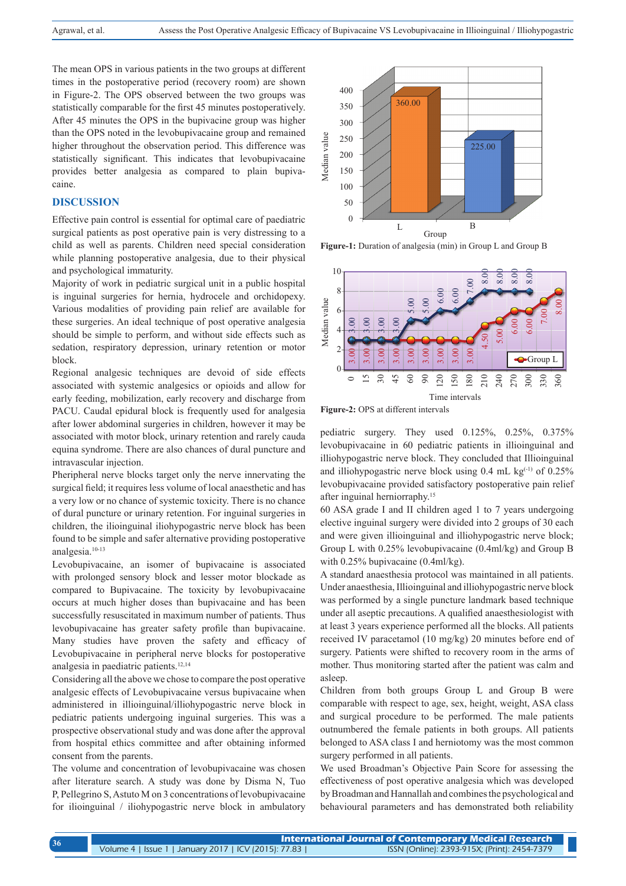The mean OPS in various patients in the two groups at different times in the postoperative period (recovery room) are shown in Figure-2. The OPS observed between the two groups was statistically comparable for the first 45 minutes postoperatively. After 45 minutes the OPS in the bupivacine group was higher than the OPS noted in the levobupivacaine group and remained higher throughout the observation period. This difference was statistically significant. This indicates that levobupivacaine provides better analgesia as compared to plain bupivacaine.

## **DISCUSSION**

Effective pain control is essential for optimal care of paediatric surgical patients as post operative pain is very distressing to a child as well as parents. Children need special consideration while planning postoperative analgesia, due to their physical and psychological immaturity.

Majority of work in pediatric surgical unit in a public hospital is inguinal surgeries for hernia, hydrocele and orchidopexy. Various modalities of providing pain relief are available for these surgeries. An ideal technique of post operative analgesia should be simple to perform, and without side effects such as sedation, respiratory depression, urinary retention or motor block.

Regional analgesic techniques are devoid of side effects associated with systemic analgesics or opioids and allow for early feeding, mobilization, early recovery and discharge from PACU. Caudal epidural block is frequently used for analgesia after lower abdominal surgeries in children, however it may be associated with motor block, urinary retention and rarely cauda equina syndrome. There are also chances of dural puncture and intravascular injection.

Pheripheral nerve blocks target only the nerve innervating the surgical field; it requires less volume of local anaesthetic and has a very low or no chance of systemic toxicity. There is no chance of dural puncture or urinary retention. For inguinal surgeries in children, the ilioinguinal iliohypogastric nerve block has been found to be simple and safer alternative providing postoperative analgesia.10-13

Levobupivacaine, an isomer of bupivacaine is associated with prolonged sensory block and lesser motor blockade as compared to Bupivacaine. The toxicity by levobupivacaine occurs at much higher doses than bupivacaine and has been successfully resuscitated in maximum number of patients. Thus levobupivacaine has greater safety profile than bupivacaine. Many studies have proven the safety and efficacy of Levobupivacaine in peripheral nerve blocks for postoperative analgesia in paediatric patients.<sup>12,14</sup>

Considering all the above we chose to compare the post operative analgesic effects of Levobupivacaine versus bupivacaine when administered in illioinguinal/illiohypogastric nerve block in pediatric patients undergoing inguinal surgeries. This was a prospective observational study and was done after the approval from hospital ethics committee and after obtaining informed consent from the parents.

The volume and concentration of levobupivacaine was chosen after literature search. A study was done by Disma N, Tuo P, Pellegrino S,Astuto M on 3 concentrations of levobupivacaine for ilioinguinal / iliohypogastric nerve block in ambulatory



**Figure-1:** Duration of analgesia (min) in Group L and Group B



**Figure-2:** OPS at different intervals

pediatric surgery. They used 0.125%, 0.25%, 0.375% levobupivacaine in 60 pediatric patients in illioinguinal and illiohypogastric nerve block. They concluded that Illioinguinal and illiohypogastric nerve block using  $0.4$  mL kg<sup>(-1)</sup> of  $0.25\%$ levobupivacaine provided satisfactory postoperative pain relief after inguinal herniorraphy.<sup>15</sup>

60 ASA grade I and II children aged 1 to 7 years undergoing elective inguinal surgery were divided into 2 groups of 30 each and were given illioinguinal and illiohypogastric nerve block; Group L with 0.25% levobupivacaine (0.4ml/kg) and Group B with 0.25% bupivacaine (0.4ml/kg).

A standard anaesthesia protocol was maintained in all patients. Under anaesthesia, Illioinguinal and illiohypogastric nerve block was performed by a single puncture landmark based technique under all aseptic precautions. A qualified anaesthesiologist with at least 3 years experience performed all the blocks. All patients received IV paracetamol (10 mg/kg) 20 minutes before end of surgery. Patients were shifted to recovery room in the arms of mother. Thus monitoring started after the patient was calm and asleep.

Children from both groups Group L and Group B were comparable with respect to age, sex, height, weight, ASA class and surgical procedure to be performed. The male patients outnumbered the female patients in both groups. All patients belonged to ASA class I and herniotomy was the most common surgery performed in all patients.

We used Broadman's Objective Pain Score for assessing the effectiveness of post operative analgesia which was developed by Broadman and Hannallah and combines the psychological and behavioural parameters and has demonstrated both reliability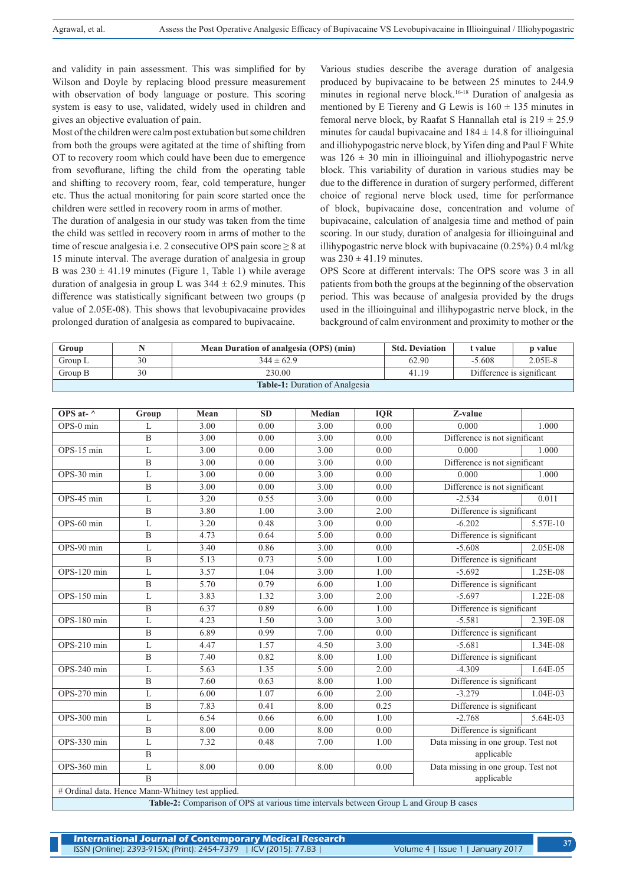and validity in pain assessment. This was simplified for by Wilson and Doyle by replacing blood pressure measurement with observation of body language or posture. This scoring system is easy to use, validated, widely used in children and gives an objective evaluation of pain.

Most of the children were calm post extubation but some children from both the groups were agitated at the time of shifting from OT to recovery room which could have been due to emergence from sevoflurane, lifting the child from the operating table and shifting to recovery room, fear, cold temperature, hunger etc. Thus the actual monitoring for pain score started once the children were settled in recovery room in arms of mother.

The duration of analgesia in our study was taken from the time the child was settled in recovery room in arms of mother to the time of rescue analgesia i.e. 2 consecutive OPS pain score ≥ 8 at 15 minute interval. The average duration of analgesia in group B was  $230 \pm 41.19$  minutes (Figure 1, Table 1) while average duration of analgesia in group L was  $344 \pm 62.9$  minutes. This difference was statistically significant between two groups (p value of 2.05E-08). This shows that levobupivacaine provides prolonged duration of analgesia as compared to bupivacaine.

Various studies describe the average duration of analgesia produced by bupivacaine to be between 25 minutes to 244.9 minutes in regional nerve block.16-18 Duration of analgesia as mentioned by E Tiereny and G Lewis is  $160 \pm 135$  minutes in femoral nerve block, by Raafat S Hannallah etal is  $219 \pm 25.9$ minutes for caudal bupivacaine and  $184 \pm 14.8$  for illioinguinal and illiohypogastric nerve block, by Yifen ding and Paul F White was  $126 \pm 30$  min in illioinguinal and illiohypogastric nerve block. This variability of duration in various studies may be due to the difference in duration of surgery performed, different choice of regional nerve block used, time for performance of block, bupivacaine dose, concentration and volume of bupivacaine, calculation of analgesia time and method of pain scoring. In our study, duration of analgesia for illioinguinal and illihypogastric nerve block with bupivacaine (0.25%) 0.4 ml/kg was  $230 \pm 41.19$  minutes.

OPS Score at different intervals: The OPS score was 3 in all patients from both the groups at the beginning of the observation period. This was because of analgesia provided by the drugs used in the illioinguinal and illihypogastric nerve block, in the background of calm environment and proximity to mother or the

| Group                                 |    | Mean Duration of analgesia (OPS) (min) | <b>Std. Deviation</b> | t value                   | p value |  |  |  |
|---------------------------------------|----|----------------------------------------|-----------------------|---------------------------|---------|--|--|--|
| Group L                               | 30 | $344 \pm 62.9$                         | 62.90                 | $-5.608$                  | 2.05E-8 |  |  |  |
| Group B                               | 30 | 230.00                                 | 41.19                 | Difference is significant |         |  |  |  |
| <b>Table-1:</b> Duration of Analgesia |    |                                        |                       |                           |         |  |  |  |

| OPS at- $\wedge$                                                                              | Group          | Mean | <b>SD</b> | Median | <b>IQR</b> | Z-value                             |          |  |  |
|-----------------------------------------------------------------------------------------------|----------------|------|-----------|--------|------------|-------------------------------------|----------|--|--|
| OPS-0 min                                                                                     | L              | 3.00 | 0.00      | 3.00   | 0.00       | 0.000                               | 1.000    |  |  |
|                                                                                               | $\mathbf{B}$   | 3.00 | 0.00      | 3.00   | 0.00       | Difference is not significant       |          |  |  |
| OPS-15 min                                                                                    | L              | 3.00 | 0.00      | 3.00   | 0.00       | 0.000                               | 1.000    |  |  |
|                                                                                               | $\overline{B}$ | 3.00 | 0.00      | 3.00   | 0.00       | Difference is not significant       |          |  |  |
| OPS-30 min                                                                                    | L              | 3.00 | 0.00      | 3.00   | 0.00       | 0.000                               | 1.000    |  |  |
|                                                                                               | B              | 3.00 | 0.00      | 3.00   | 0.00       | Difference is not significant       |          |  |  |
| OPS-45 min                                                                                    | L              | 3.20 | 0.55      | 3.00   | 0.00       | $-2.534$                            | 0.011    |  |  |
|                                                                                               | $\mathbf B$    | 3.80 | 1.00      | 3.00   | 2.00       | Difference is significant           |          |  |  |
| OPS-60 min                                                                                    | L              | 3.20 | 0.48      | 3.00   | 0.00       | $-6.202$                            | 5.57E-10 |  |  |
|                                                                                               | B              | 4.73 | 0.64      | 5.00   | 0.00       | Difference is significant           |          |  |  |
| OPS-90 min                                                                                    | L              | 3.40 | 0.86      | 3.00   | 0.00       | $-5.608$                            | 2.05E-08 |  |  |
|                                                                                               | $\mathbf{B}$   | 5.13 | 0.73      | 5.00   | 1.00       | Difference is significant           |          |  |  |
| OPS-120 min                                                                                   | L              | 3.57 | 1.04      | 3.00   | 1.00       | $-5.692$                            | 1.25E-08 |  |  |
|                                                                                               | $\mathbf{B}$   | 5.70 | 0.79      | 6.00   | 1.00       | Difference is significant           |          |  |  |
| OPS-150 min                                                                                   | L              | 3.83 | 1.32      | 3.00   | 2.00       | $-5.697$                            | 1.22E-08 |  |  |
|                                                                                               | $\mathbf{B}$   | 6.37 | 0.89      | 6.00   | 1.00       | Difference is significant           |          |  |  |
| OPS-180 min                                                                                   | L              | 4.23 | 1.50      | 3.00   | 3.00       | $-5.581$                            | 2.39E-08 |  |  |
|                                                                                               | $\mathbf B$    | 6.89 | 0.99      | 7.00   | 0.00       | Difference is significant           |          |  |  |
| OPS-210 min                                                                                   | L              | 4.47 | 1.57      | 4.50   | 3.00       | $-5.681$                            | 1.34E-08 |  |  |
|                                                                                               | $\mathbf B$    | 7.40 | 0.82      | 8.00   | 1.00       | Difference is significant           |          |  |  |
| OPS-240 min                                                                                   | L              | 5.63 | 1.35      | 5.00   | 2.00       | $-4.309$                            | 1.64E-05 |  |  |
|                                                                                               | $\mathbf{B}$   | 7.60 | 0.63      | 8.00   | 1.00       | Difference is significant           |          |  |  |
| OPS-270 min                                                                                   | L              | 6.00 | 1.07      | 6.00   | 2.00       | $-3.279$                            | 1.04E-03 |  |  |
|                                                                                               | $\overline{B}$ | 7.83 | 0.41      | 8.00   | 0.25       | Difference is significant           |          |  |  |
| OPS-300 min                                                                                   | L              | 6.54 | 0.66      | 6.00   | 1.00       | $-2.768$                            | 5.64E-03 |  |  |
|                                                                                               | $\overline{B}$ | 8.00 | 0.00      | 8.00   | 0.00       | Difference is significant           |          |  |  |
| OPS-330 min                                                                                   | L              | 7.32 | 0.48      | 7.00   | 1.00       | Data missing in one group. Test not |          |  |  |
|                                                                                               | $\overline{B}$ |      |           |        |            | applicable                          |          |  |  |
| OPS-360 min                                                                                   | L              | 8.00 | 0.00      | 8.00   | 0.00       | Data missing in one group. Test not |          |  |  |
|                                                                                               | $\overline{B}$ |      |           |        |            | applicable                          |          |  |  |
| # Ordinal data. Hence Mann-Whitney test applied.                                              |                |      |           |        |            |                                     |          |  |  |
| <b>Table-2:</b> Comparison of OPS at various time intervals between Group L and Group B cases |                |      |           |        |            |                                     |          |  |  |

**Table-2:** Comparison of OPS at various time intervals between Group L and Group B cases